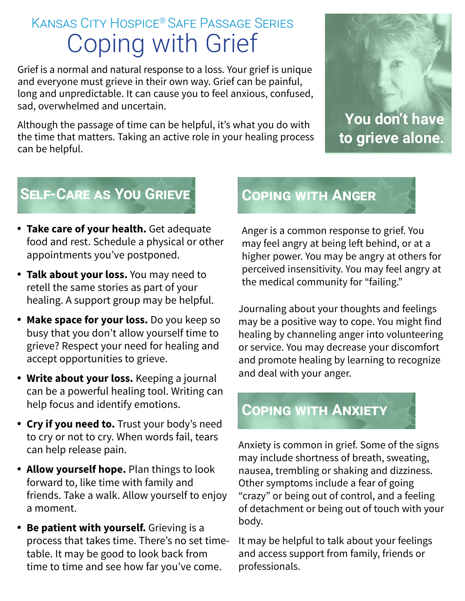## Kansas City Hospice® Safe Passage Series Coping with Grief

Grief is a normal and natural response to a loss. Your grief is unique and everyone must grieve in their own way. Grief can be painful, long and unpredictable. It can cause you to feel anxious, confused, sad, overwhelmed and uncertain.

Although the passage of time can be helpful, it's what you do with the time that matters. Taking an active role in your healing process can be helpful.



**to grieve alone.** 

## **Self-Care as You Grieve**

- **Take care of your health.** Get adequate food and rest. Schedule a physical or other appointments you've postponed.
- **Talk about your loss.** You may need to retell the same stories as part of your healing. A support group may be helpful.
- **Make space for your loss.** Do you keep so busy that you don't allow yourself time to grieve? Respect your need for healing and accept opportunities to grieve.
- **Write about your loss.** Keeping a journal can be a powerful healing tool. Writing can help focus and identify emotions.
- **Cry if you need to.** Trust your body's need to cry or not to cry. When words fail, tears can help release pain.
- **Allow yourself hope.** Plan things to look forward to, like time with family and friends. Take a walk. Allow yourself to enjoy a moment.
- **Be patient with yourself.** Grieving is a process that takes time. There's no set timetable. It may be good to look back from time to time and see how far you've come.

## **Coping with Anger**

Anger is a common response to grief. You may feel angry at being left behind, or at a higher power. You may be angry at others for perceived insensitivity. You may feel angry at the medical community for "failing."

Journaling about your thoughts and feelings may be a positive way to cope. You might find healing by channeling anger into volunteering or service. You may decrease your discomfort and promote healing by learning to recognize and deal with your anger.

## **Coping with Anxiety**

Anxiety is common in grief. Some of the signs may include shortness of breath, sweating, nausea, trembling or shaking and dizziness. Other symptoms include a fear of going "crazy" or being out of control, and a feeling of detachment or being out of touch with your body.

It may be helpful to talk about your feelings and access support from family, friends or professionals.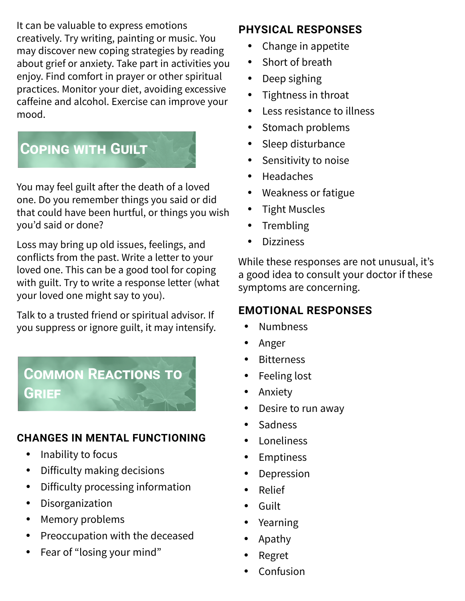It can be valuable to express emotions creatively. Try writing, painting or music. You may discover new coping strategies by reading about grief or anxiety. Take part in activities you enjoy. Find comfort in prayer or other spiritual practices. Monitor your diet, avoiding excessive caffeine and alcohol. Exercise can improve your mood.

## **Coping with Guilt**

You may feel guilt after the death of a loved one. Do you remember things you said or did that could have been hurtful, or things you wish you'd said or done?

Loss may bring up old issues, feelings, and conflicts from the past. Write a letter to your loved one. This can be a good tool for coping with guilt. Try to write a response letter (what your loved one might say to you).

Talk to a trusted friend or spiritual advisor. If you suppress or ignore guilt, it may intensify.

**Common Reactions to** 

### **CHANGES IN MENTAL FUNCTIONING**

• Inability to focus

**Grief**

- Difficulty making decisions
- Difficulty processing information
- Disorganization
- Memory problems
- Preoccupation with the deceased
- Fear of "losing your mind"

## **PHYSICAL RESPONSES**

- Change in appetite
- Short of breath
- Deep sighing
- Tightness in throat
- Less resistance to illness
- Stomach problems
- Sleep disturbance
- Sensitivity to noise
- Headaches
- Weakness or fatigue
- Tight Muscles
- **Trembling**
- **Dizziness**

While these responses are not unusual, it's a good idea to consult your doctor if these symptoms are concerning.

## **EMOTIONAL RESPONSES**

- Numbness
- Anger
- Bitterness
- $\cdot$  Feeling lost
- Anxiety
- Desire to run away
- Sadness
- Loneliness
- Emptiness
- Depression
- Relief
- Guilt
- Yearning
- Apathy
- Regret
- Confusion